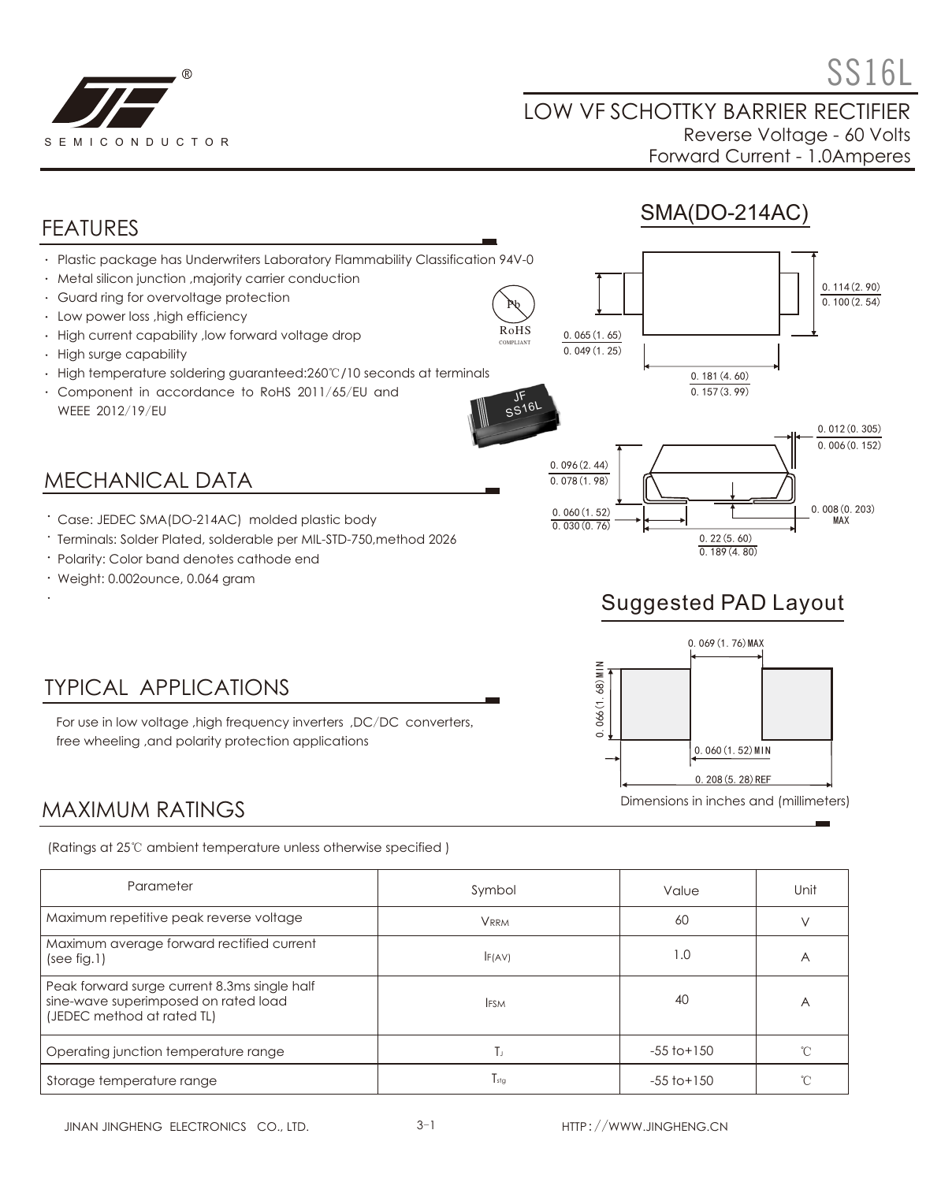

0.114(2.90)

 $0.100(2.54)$ 

#### LOW VF SCHOTTKY BARRIER RECTIFIER Reverse Voltage - 60 Volts Forward Current - 1.0Amperes

## FEATURES

Plastic package has Underwriters Laboratory Flammability Classification 94V-0

- Metal silicon junction ,majority carrier conduction
- Guard ring for overvoltage protection
- Low power loss ,high efficiency
- High current capability ,low forward voltage drop
- High surge capability
- High temperature soldering guaranteed:260℃/10 seconds at terminals
- Component in accordance to RoHS 2011/65/EU and WEEE 2012/19/EU

### MECHANICAL DATA

- Case: JEDEC SMA(DO-214AC) molded plastic body
- Terminals: Solder Plated, solderable per MIL-STD-750,method 2026
- Polarity: Color band denotes cathode end
- Weight: 0.002ounce, 0.064 gram





0.181(4.60)

 $0.157(3.99)$ 

## Suggested PAD Layout



# TYPICAL APPLICATIONS

For use in low voltage ,high frequency inverters ,DC/DC converters, free wheeling ,and polarity protection applications

#### MAXIMUM RATINGS

(Ratings at 25℃ ambient temperature unless otherwise specified )

| Parameter                                                                                                          | Symbol      | Value           | Unit           |
|--------------------------------------------------------------------------------------------------------------------|-------------|-----------------|----------------|
| Maximum repetitive peak reverse voltage                                                                            | <b>VRRM</b> | 60              |                |
| Maximum average forward rectified current<br>(see fig.1)                                                           | F(AV)       | 1.0             | $\overline{ }$ |
| Peak forward surge current 8.3ms single half<br>sine-wave superimposed on rated load<br>(JEDEC method at rated TL) | <b>IFSM</b> | 40              | А              |
| Operating junction temperature range                                                                               | Тı          | $-55$ to $+150$ |                |
| Storage temperature range                                                                                          | $T_{sta}$   | $-55$ to $+150$ |                |

Pb RoHS COMPLIANT

0.065(1.65)

 $0.049(1.25)$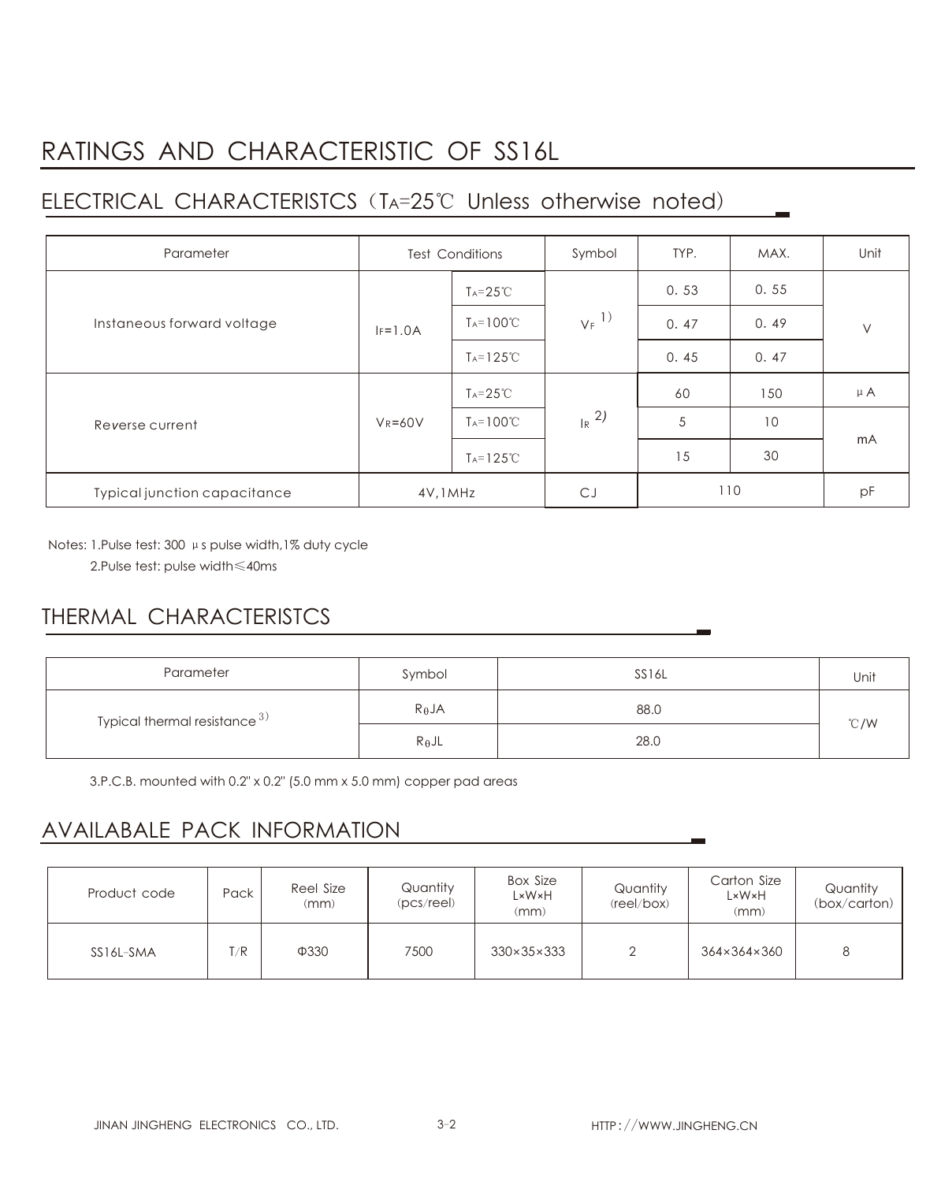# RATINGS AND CHARACTERISTIC OF SS16L

## ELECTRICAL CHARACTERISTCS (TA=25℃ Unless otherwise noted)

| Parameter                    | <b>Test Conditions</b> |                       | Symbol              | TYP. | MAX. | Unit    |
|------------------------------|------------------------|-----------------------|---------------------|------|------|---------|
| Instaneous forward voltage   |                        | $Ta = 25^{\circ}C$    | $V_F$ <sup>1)</sup> | 0.53 | 0.55 | $\vee$  |
|                              | $IF=1.0A$              | $T_A = 100^{\circ}C$  |                     | 0.47 | 0.49 |         |
|                              |                        | $T_A = 125^{\circ}C$  |                     | 0.45 | 0.47 |         |
| Reverse current              | $V_R = 60V$            | $T_A = 25^{\circ}C$   | $R^{2}$             | 60   | 150  | $\mu$ A |
|                              |                        | $T_A = 100^{\circ}C$  |                     | 5    | 10   | mA      |
|                              |                        | $T_A = 125^{\circ}$ C |                     | 15   | 30   |         |
| Typical junction capacitance | 4V, 1MHz               |                       | CJ                  | 110  |      | pF      |

Notes: 1.Pulse test: 300 μs pulse width,1% duty cycle

2.Pulse test: pulse width≤40ms

### THERMAL CHARACTERISTCS

| Parameter                       | Symbol          | SS16L | Unit           |  |
|---------------------------------|-----------------|-------|----------------|--|
| Typical thermal resistance $3)$ | $R_{\theta}$ JA | 88.0  | $^{\circ}$ C/W |  |
|                                 | $R_{\theta}$ JL | 28.0  |                |  |

3.P.C.B. mounted with 0.2" x 0.2" (5.0 mm x 5.0 mm) copper pad areas

### AVAILABALE PACK INFORMATION

| Product code | Pack | Reel Size<br>(mm) | Quantity<br>$(pcs$ /reel) | <b>Box Size</b><br>L×W×H<br>(mm) | Quantity<br>(reel/box) | Carton Size<br>L×W×H<br>(mm) | Quantity<br>(box/carton) |
|--------------|------|-------------------|---------------------------|----------------------------------|------------------------|------------------------------|--------------------------|
| SS16L-SMA    | T/R  | Ф330              | 7500                      | $330\times35\times333$           |                        | 364×364×360                  | 8                        |